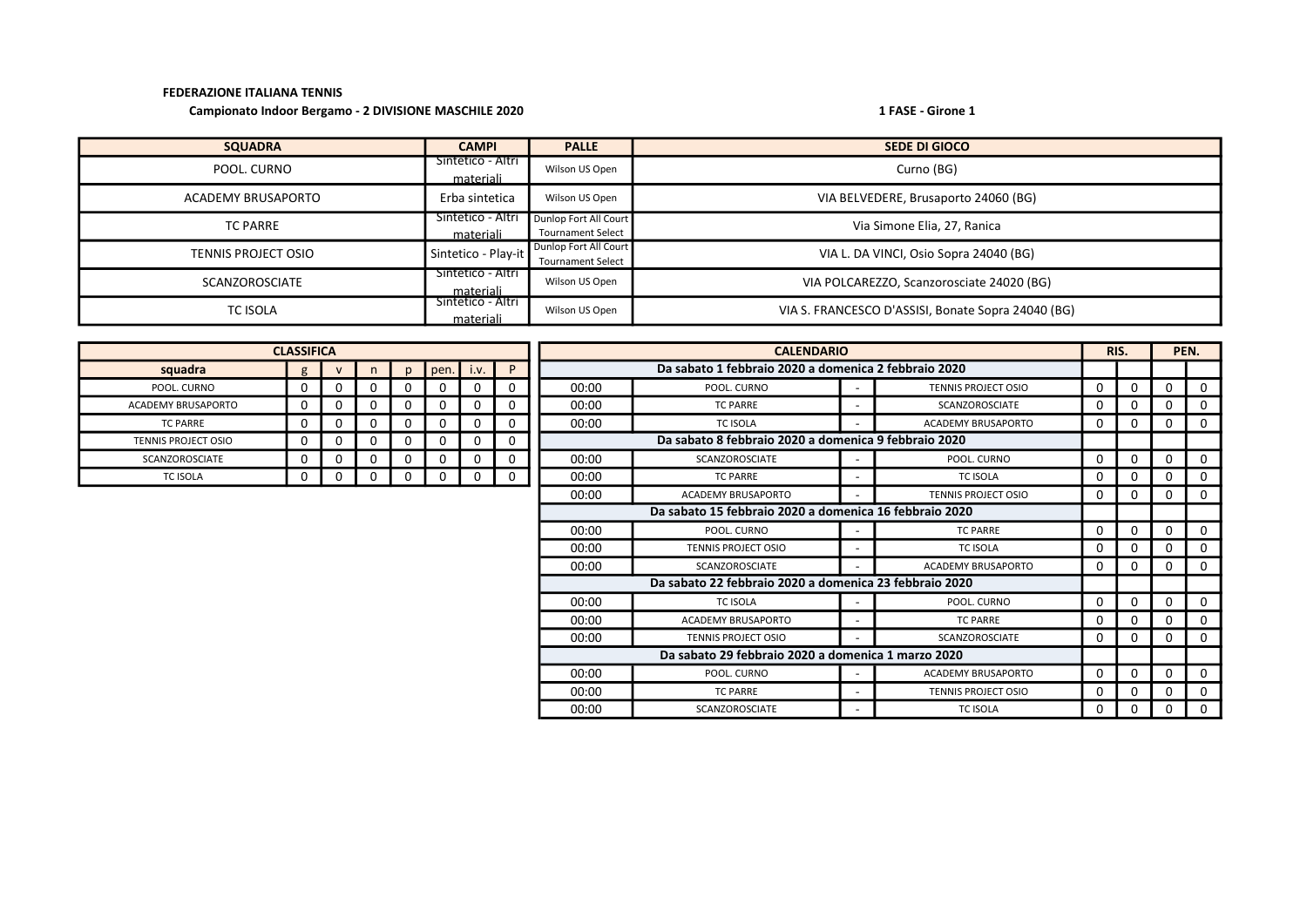## FEDERAZIONE ITALIANA TENNIS

## Campionato Indoor Bergamo - 2 DIVISIONE MASCHILE 2020 1 FASE - Girone 1

| <b>SQUADRA</b>             | <b>CAMPI</b>                   | <b>PALLE</b>                                      | <b>SEDE DI GIOCO</b>                               |
|----------------------------|--------------------------------|---------------------------------------------------|----------------------------------------------------|
| POOL. CURNO                | Sintetico - Altri<br>materiali | Wilson US Open                                    | Curno (BG)                                         |
| ACADEMY BRUSAPORTO         | Erba sintetica                 | Wilson US Open                                    | VIA BELVEDERE, Brusaporto 24060 (BG)               |
| <b>TC PARRE</b>            | Sintetico - Altri<br>materiali | Dunlop Fort All Court<br><b>Tournament Select</b> | Via Simone Elia, 27, Ranica                        |
| <b>TENNIS PROJECT OSIO</b> | Sintetico - Play-it            | Dunlop Fort All Court<br><b>Tournament Select</b> | VIA L. DA VINCI, Osio Sopra 24040 (BG)             |
| <b>SCANZOROSCIATE</b>      | Sintetico - Altri<br>materiali | Wilson US Open                                    | VIA POLCAREZZO, Scanzorosciate 24020 (BG)          |
| <b>TC ISOLA</b>            | Sintetico - Altri<br>materiali | Wilson US Open                                    | VIA S. FRANCESCO D'ASSISI, Bonate Sopra 24040 (BG) |

| <b>CLASSIFICA</b>                                      |             |  |    |              |          | <b>CALENDARIO</b> |             |       |                                                      |          | RIS.                       |          | PEN.         |          |              |
|--------------------------------------------------------|-------------|--|----|--------------|----------|-------------------|-------------|-------|------------------------------------------------------|----------|----------------------------|----------|--------------|----------|--------------|
| squadra                                                | g           |  | n. | $\mathbf{D}$ | pen.     | i.v.              | P           |       | Da sabato 1 febbraio 2020 a domenica 2 febbraio 2020 |          |                            |          |              |          |              |
| POOL. CURNO                                            | 0           |  | 0  | 0            | 0        |                   | 0           | 00:00 | POOL. CURNO                                          |          | <b>TENNIS PROJECT OSIO</b> | 0        | 0            | 0        | $\mathbf 0$  |
| <b>ACADEMY BRUSAPORTO</b>                              | $\mathbf 0$ |  | 0  | 0            | 0        |                   | 0           | 00:00 | <b>TC PARRE</b>                                      |          | <b>SCANZOROSCIATE</b>      | $\Omega$ | 0            | 0        | $\mathbf{0}$ |
| <b>TC PARRE</b>                                        | 0           |  | 0  | 0            | 0        |                   | 0           | 00:00 | TC ISOLA                                             |          | <b>ACADEMY BRUSAPORTO</b>  | 0        | 0            |          | $\mathbf{0}$ |
| <b>TENNIS PROJECT OSIO</b>                             | 0           |  | 0  | 0            | 0        |                   | 0           |       | Da sabato 8 febbraio 2020 a domenica 9 febbraio 2020 |          |                            |          |              |          |              |
| <b>SCANZOROSCIATE</b>                                  | 0           |  | 0  | 0            | $\Omega$ |                   | 0           | 00:00 | <b>SCANZOROSCIATE</b>                                |          | POOL. CURNO                | $\Omega$ | $\Omega$     | $\Omega$ | $\mathbf{0}$ |
| <b>TC ISOLA</b>                                        | 0           |  | 0  | 0            | 0        |                   | $\mathbf 0$ | 00:00 | <b>TC PARRE</b>                                      |          | <b>TC ISOLA</b>            | 0        | <sup>0</sup> | 0        | 0            |
|                                                        |             |  |    |              |          |                   |             | 00:00 | <b>ACADEMY BRUSAPORTO</b>                            |          | <b>TENNIS PROJECT OSIO</b> | 0        | 0            | 0        | $\mathbf{0}$ |
| Da sabato 15 febbraio 2020 a domenica 16 febbraio 2020 |             |  |    |              |          |                   |             |       |                                                      |          |                            |          |              |          |              |
| 00:00                                                  |             |  |    |              |          |                   | POOL. CURNO |       | <b>TC PARRE</b>                                      | $\Omega$ | $\mathbf{0}$               | $\Omega$ | $\mathbf{0}$ |          |              |
| 00:00<br><b>TC ISOLA</b><br><b>TENNIS PROJECT OSIO</b> |             |  |    |              |          |                   |             | 0     | 0                                                    | 0        | $\mathbf 0$                |          |              |          |              |
|                                                        |             |  |    |              |          |                   |             | 00:00 | SCANZOROSCIATE                                       |          | <b>ACADEMY BRUSAPORTO</b>  | 0        | 0            | 0        | $\mathbf{0}$ |
|                                                        |             |  |    |              |          |                   |             |       |                                                      |          |                            |          |              |          |              |
|                                                        |             |  |    |              |          |                   |             | 00:00 | <b>TC ISOLA</b>                                      |          | POOL. CURNO                | 0        | 0            | $\Omega$ | $\mathbf{0}$ |
|                                                        |             |  |    |              |          |                   |             | 00:00 | <b>ACADEMY BRUSAPORTO</b>                            |          | <b>TC PARRE</b>            | 0        | 0            | 0        | $\mathbf{0}$ |
|                                                        |             |  |    |              |          |                   |             | 00:00 | <b>TENNIS PROJECT OSIO</b>                           |          | SCANZOROSCIATE             | 0        | 0            | 0        | $\mathbf{0}$ |
|                                                        |             |  |    |              |          |                   |             |       |                                                      |          |                            |          |              |          |              |
|                                                        |             |  |    |              |          |                   |             | 00:00 | POOL. CURNO                                          |          | ACADEMY BRUSAPORTO         | $\Omega$ | $\Omega$     | $\Omega$ | $\mathbf{0}$ |
|                                                        |             |  |    |              |          |                   |             | 00:00 | <b>TC PARRE</b>                                      |          | <b>TENNIS PROJECT OSIO</b> | 0        | $\Omega$     |          | $\mathbf{0}$ |
|                                                        |             |  |    |              |          |                   |             | 00:00 | <b>SCANZOROSCIATE</b>                                | ٠        | <b>TC ISOLA</b>            | 0        | 0            | 0        | $\mathbf 0$  |